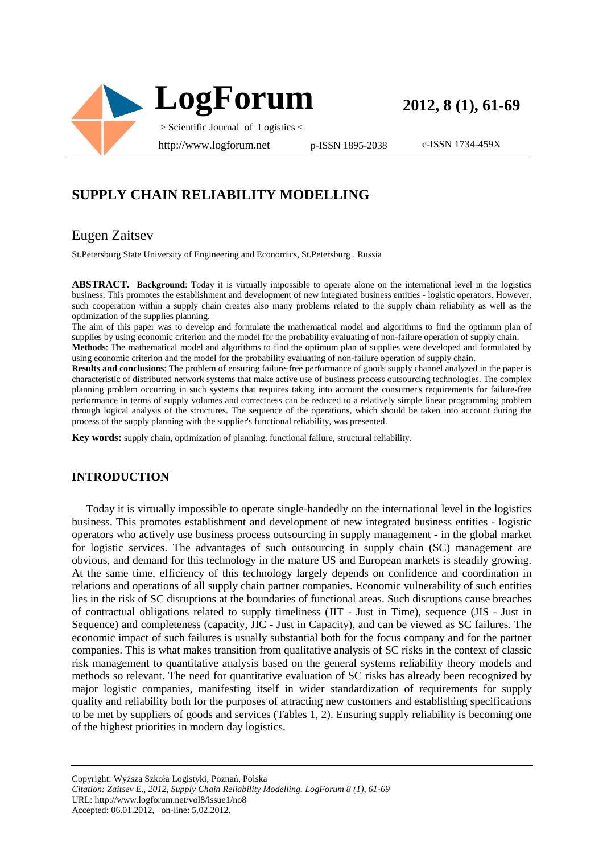

**2012, 8 (1), 61-69**

e-ISSN 1734-459X

# **SUPPLY CHAIN RELIABILITY MODELLING**

## Eugen Zaitsev

St.Petersburg State University of Engineering and Economics, St.Petersburg , Russia

**ABSTRACT. Background**: Today it is virtually impossible to operate alone on the international level in the logistics business. This promotes the establishment and development of new integrated business entities - logistic operators. However, such cooperation within a supply chain creates also many problems related to the supply chain reliability as well as the optimization of the supplies planning.

The aim of this paper was to develop and formulate the mathematical model and algorithms to find the optimum plan of supplies by using economic criterion and the model for the probability evaluating of non-failure operation of supply chain.

**Methods**: The mathematical model and algorithms to find the optimum plan of supplies were developed and formulated by using economic criterion and the model for the probability evaluating of non-failure operation of supply chain.

**Results and conclusions**: The problem of ensuring failure-free performance of goods supply channel analyzed in the paper is characteristic of distributed network systems that make active use of business process outsourcing technologies. The complex planning problem occurring in such systems that requires taking into account the consumer's requirements for failure-free performance in terms of supply volumes and correctness can be reduced to a relatively simple linear programming problem through logical analysis of the structures. The sequence of the operations, which should be taken into account during the process of the supply planning with the supplier's functional reliability, was presented.

**Key words:** supply chain, optimization of planning, functional failure, structural reliability.

### **INTRODUCTION**

Today it is virtually impossible to operate single-handedly on the international level in the logistics business. This promotes establishment and development of new integrated business entities - logistic operators who actively use business process outsourcing in supply management - in the global market for logistic services. The advantages of such outsourcing in supply chain (SC) management are obvious, and demand for this technology in the mature US and European markets is steadily growing. At the same time, efficiency of this technology largely depends on confidence and coordination in relations and operations of all supply chain partner companies. Economic vulnerability of such entities lies in the risk of SC disruptions at the boundaries of functional areas. Such disruptions cause breaches of contractual obligations related to supply timeliness (JIT - Just in Time), sequence (JIS - Just in Sequence) and completeness (capacity, JIC - Just in Capacity), and can be viewed as SC failures. The economic impact of such failures is usually substantial both for the focus company and for the partner companies. This is what makes transition from qualitative analysis of SC risks in the context of classic risk management to quantitative analysis based on the general systems reliability theory models and methods so relevant. The need for quantitative evaluation of SC risks has already been recognized by major logistic companies, manifesting itself in wider standardization of requirements for supply quality and reliability both for the purposes of attracting new customers and establishing specifications to be met by suppliers of goods and services (Tables 1, 2). Ensuring supply reliability is becoming one of the highest priorities in modern day logistics.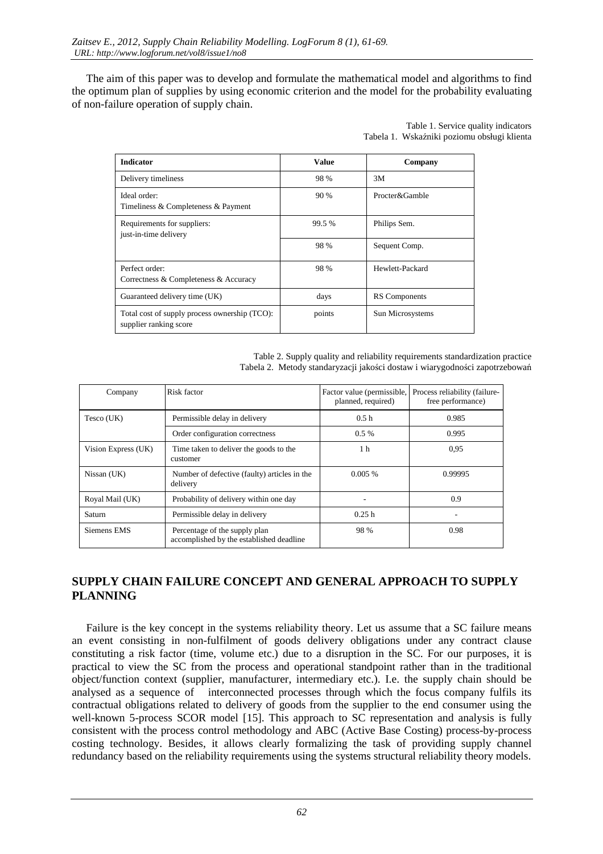The aim of this paper was to develop and formulate the mathematical model and algorithms to find the optimum plan of supplies by using economic criterion and the model for the probability evaluating of non-failure operation of supply chain.

> Table 1. Service quality indicators Tabela 1. Wskaźniki poziomu obsługi klienta

| <b>Indicator</b>                                                        | <b>Value</b> | Company              |
|-------------------------------------------------------------------------|--------------|----------------------|
| Delivery timeliness                                                     | 98 %         | 3M                   |
| Ideal order:<br>Timeliness & Completeness & Payment                     | 90 %         | Procter&Gamble       |
| Requirements for suppliers:<br>just-in-time delivery                    | 99.5 %       | Philips Sem.         |
|                                                                         | 98 %         | Sequent Comp.        |
| Perfect order:<br>Correctness & Completeness & Accuracy                 | 98 %         | Hewlett-Packard      |
| Guaranteed delivery time (UK)                                           | days         | <b>RS</b> Components |
| Total cost of supply process ownership (TCO):<br>supplier ranking score | points       | Sun Microsystems     |

| Table 2. Supply quality and reliability requirements standardization practice |
|-------------------------------------------------------------------------------|
| Tabela 2. Metody standaryzacji jakości dostaw i wiarygodności zapotrzebowań   |

| Company             | Risk factor                                                               | Factor value (permissible,<br>planned, required) | Process reliability (failure-<br>free performance) |
|---------------------|---------------------------------------------------------------------------|--------------------------------------------------|----------------------------------------------------|
| Tesco (UK)          | Permissible delay in delivery                                             | 0.5h                                             | 0.985                                              |
|                     | Order configuration correctness                                           | $0.5\%$                                          | 0.995                                              |
| Vision Express (UK) | Time taken to deliver the goods to the<br>customer                        | 1 <sub>h</sub>                                   | 0.95                                               |
| Nissan (UK)         | Number of defective (faulty) articles in the<br>delivery                  | 0.005%                                           | 0.99995                                            |
| Royal Mail (UK)     | Probability of delivery within one day                                    |                                                  | 0.9                                                |
| Saturn              | Permissible delay in delivery                                             | 0.25h                                            |                                                    |
| Siemens EMS         | Percentage of the supply plan<br>accomplished by the established deadline | 98 %                                             | 0.98                                               |

## SUPPLY CHAIN FAILURE CONCEPT AND GENERAL APPROACH TO SUPPLY PLANNING

Failure is the key concept in the systems reliability theory. Let us assume that a SC failure means an event consisting in non-fulfilment of goods delivery obligations under any contract clause constituting a risk factor (time, volume etc.) due to a disruption in the SC. For our purposes, it is practical to view the SC from the process and operational standpoint rather than in the traditional object/function context (supplier, manufacturer, intermediary etc.). I.e. the supply chain should be analysed as a sequence of interconnected processes through which the focus company fulfils its contractual obligations related to delivery of goods from the supplier to the end consumer using the well-known 5-process SCOR model [15]. This approach to SC representation and analysis is fully consistent with the process control methodology and ABC (Active Base Costing) process-by-process costing technology. Besides, it allows clearly formalizing the task of providing supply channel redundancy based on the reliability requirements using the systems structural reliability theory models.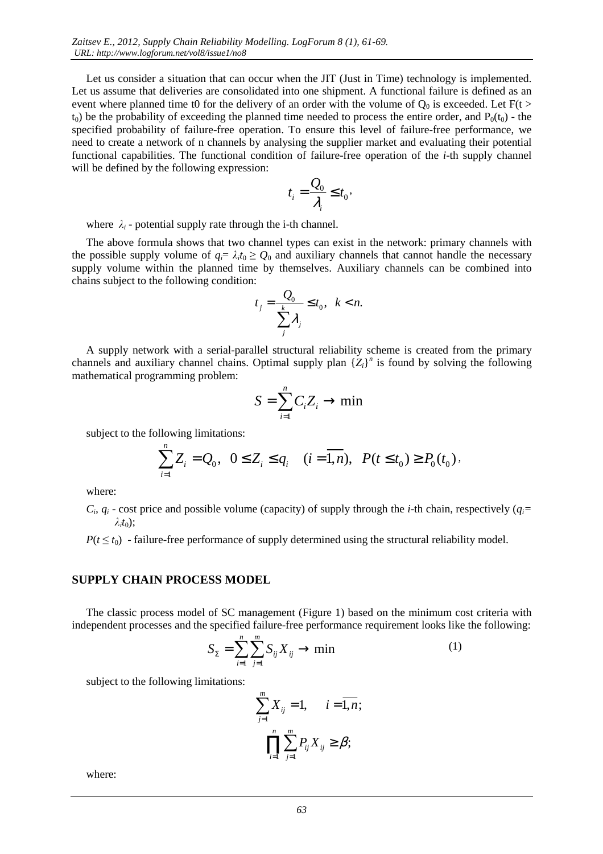Let us consider a situation that can occur when the JIT (Just in Time) technology is implemented. Let us assume that deliveries are consolidated into one shipment. A functional failure is defined as an event where planned time t0 for the delivery of an order with the volume of  $Q_0$  is exceeded. Let  $F(t >$  $t_0$ ) be the probability of exceeding the planned time needed to process the entire order, and  $P_0(t_0)$  - the specified probability of failure-free operation. To ensure this level of failure-free performance, we need to create a network of n channels by analysing the supplier market and evaluating their potential functional capabilities. The functional condition of failure-free operation of the *i*-th supply channel will be defined by the following expression:

$$
t_i = \frac{Q_0}{\lambda_i} \le t_0,
$$

where  $\lambda_i$  - potential supply rate through the i-th channel.

The above formula shows that two channel types can exist in the network: primary channels with the possible supply volume of  $q_i = \lambda_i t_0 \geq Q_0$  and auxiliary channels that cannot handle the necessary supply volume within the planned time by themselves. Auxiliary channels can be combined into chains subject to the following condition:

$$
t_j = \frac{Q_0}{\sum_j^k \lambda_j} \le t_0, \quad k < n.
$$

A supply network with a serial-parallel structural reliability scheme is created from the primary channels and auxiliary channel chains. Optimal supply plan  ${Z_i}^n$  is found by solving the following mathematical programming problem:

$$
S = \sum_{i=1}^{n} C_i Z_i \to \min
$$

subject to the following limitations:

$$
\sum_{i=1}^{n} Z_i = Q_0, \ \ 0 \le Z_i \le q_i \ \ (i = \overline{1, n}), \ \ P(t \le t_0) \ge P_0(t_0),
$$

where:

 $C_i$ ,  $q_i$  - cost price and possible volume (capacity) of supply through the *i*-th chain, respectively ( $q_i$ *= λi t*0);

 $P(t \leq t_0)$  - failure-free performance of supply determined using the structural reliability model.

#### **SUPPLY CHAIN PROCESS MODEL**

The classic process model of SC management (Figure 1) based on the minimum cost criteria with independent processes and the specified failure-free performance requirement looks like the following:

$$
S_{\Sigma} = \sum_{i=1}^{n} \sum_{j=1}^{m} S_{ij} X_{ij} \rightarrow \min
$$
 (1)

subject to the following limitations:

$$
\sum_{j=1}^{m} X_{ij} = 1, \quad i = \overline{1, n};
$$
  

$$
\prod_{i=1}^{n} \sum_{j=1}^{m} P_{ij} X_{ij} \ge \beta;
$$

where: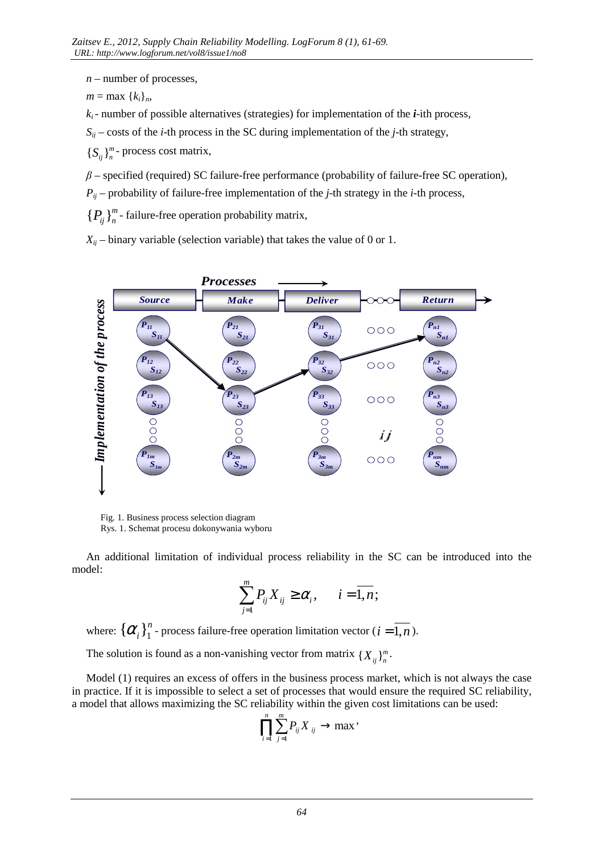- *n* number of processes,
- $m = \max \{k_i\}_n$

*ki*- number of possible alternatives (strategies) for implementation of the *i*-ith process,

 $S_{ij}$  – costs of the *i*-th process in the SC during implementation of the *j*-th strategy,

 ${S_{ij}}_{n}^m$  - process cost matrix,

*β* – specified (required) SC failure-free performance (probability of failure-free SC operation),

 $P_{ij}$  – probability of failure-free implementation of the *j*-th strategy in the *i*-th process,

 ${P_i}_{n}$ <sup>m</sup> - failure-free operation probability matrix,

 $X_{ii}$  – binary variable (selection variable) that takes the value of 0 or 1.



 Fig. 1. Business process selection diagram Rys. 1. Schemat procesu dokonywania wyboru

An additional limitation of individual process reliability in the SC can be introduced into the model:

$$
\sum_{j=1}^m P_{ij} X_{ij} \ge \alpha_i, \qquad i = \overline{1, n};
$$

where:  $\{\alpha_i\}_1^n$  - process failure-free operation limitation vector ( $i = \overline{1,n}$ ).

The solution is found as a non-vanishing vector from matrix  ${X_{ij}}_{n}^{m}$ .

Model (1) requires an excess of offers in the business process market, which is not always the case in practice. If it is impossible to select a set of processes that would ensure the required SC reliability, a model that allows maximizing the SC reliability within the given cost limitations can be used:

$$
\prod_{i=1}^n \sum_{j=1}^m P_{ij} X_{ij} \to \max'.
$$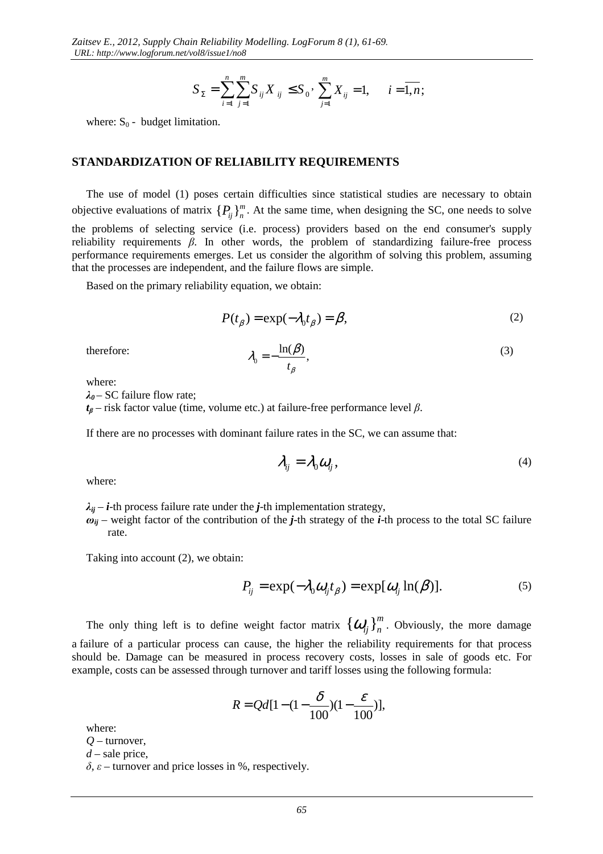$$
S_{\Sigma} = \sum_{i=1}^{n} \sum_{j=1}^{m} S_{ij} X_{ij} \leq S_0 \cdot \sum_{j=1}^{m} X_{ij} = 1, \quad i = \overline{1, n};
$$

where:  $S_0$  - budget limitation.

#### **STANDARDIZATION OF RELIABILITY REQUIREMENTS**

The use of model (1) poses certain difficulties since statistical studies are necessary to obtain objective evaluations of matrix  $\{P_{ij}\}_{n}^{m}$ . At the same time, when designing the SC, one needs to solve the problems of selecting service (i.e. process) providers based on the end consumer's supply reliability requirements *β*. In other words, the problem of standardizing failure-free process performance requirements emerges. Let us consider the algorithm of solving this problem, assuming that the processes are independent, and the failure flows are simple.

Based on the primary reliability equation, we obtain:

$$
P(t_{\beta}) = \exp(-\lambda_0 t_{\beta}) = \beta,
$$
 (2)

therefore:

$$
\lambda_0 = -\frac{\ln(\beta)}{t_\beta},\tag{3}
$$

where:

*λ<sup>0</sup>* – SC failure flow rate;

*tβ* – risk factor value (time, volume etc.) at failure-free performance level *β*.

If there are no processes with dominant failure rates in the SC, we can assume that:

$$
\lambda_{ij} = \lambda_0 \omega_{ij},\tag{4}
$$

where:

 $\lambda_{ij}$  – *i*-th process failure rate under the *j*-th implementation strategy,

 $\omega_{ii}$  – weight factor of the contribution of the *j*-th strategy of the *i*-th process to the total SC failure rate.

Taking into account (2), we obtain:

$$
P_{ij} = \exp(-\lambda_0 \omega_{ij} t_\beta) = \exp[\omega_{ij} \ln(\beta)]. \tag{5}
$$

The only thing left is to define weight factor matrix  $\{\boldsymbol{O}_{ij}\}_{n}^{m}$ . Obviously, the more damage a failure of a particular process can cause, the higher the reliability requirements for that process should be. Damage can be measured in process recovery costs, losses in sale of goods etc. For example, costs can be assessed through turnover and tariff losses using the following formula:

$$
R = Qd[1 - (1 - \frac{\delta}{100})(1 - \frac{\varepsilon}{100})],
$$

where:

*Q* – turnover,

*d* – sale price,

 $δ$ ,  $ε$  – turnover and price losses in %, respectively.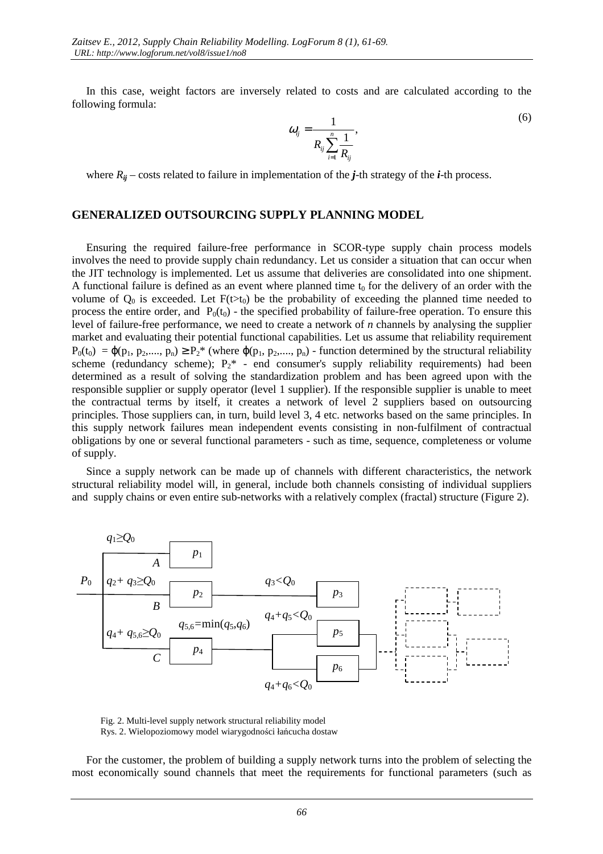In this case, weight factors are inversely related to costs and are calculated according to the following formula:

$$
\omega_{ij} = \frac{1}{R_{ij} \sum_{i=1}^{n} \frac{1}{R_{ij}}},\tag{6}
$$

where  $R_{ii}$  – costs related to failure in implementation of the *j*-th strategy of the *i*-th process.

#### **GENERALIZED OUTSOURCING SUPPLY PLANNING MODEL**

Ensuring the required failure-free performance in SCOR-type supply chain process models involves the need to provide supply chain redundancy. Let us consider a situation that can occur when the JIT technology is implemented. Let us assume that deliveries are consolidated into one shipment. A functional failure is defined as an event where planned time  $t_0$  for the delivery of an order with the volume of  $Q_0$  is exceeded. Let  $F(t>t_0)$  be the probability of exceeding the planned time needed to process the entire order, and  $P_0(t_0)$  - the specified probability of failure-free operation. To ensure this level of failure-free performance, we need to create a network of *n* channels by analysing the supplier market and evaluating their potential functional capabilities. Let us assume that reliability requirement  $P_0(t_0) = \varphi(p_1, p_2, \ldots, p_n) \ge P_2^*$  (where  $\varphi(p_1, p_2, \ldots, p_n)$ ) - function determined by the structural reliability scheme (redundancy scheme);  $P_2^*$  - end consumer's supply reliability requirements) had been determined as a result of solving the standardization problem and has been agreed upon with the responsible supplier or supply operator (level 1 supplier). If the responsible supplier is unable to meet the contractual terms by itself, it creates a network of level 2 suppliers based on outsourcing principles. Those suppliers can, in turn, build level 3, 4 etc. networks based on the same principles. In this supply network failures mean independent events consisting in non-fulfilment of contractual obligations by one or several functional parameters - such as time, sequence, completeness or volume of supply.

Since a supply network can be made up of channels with different characteristics, the network structural reliability model will, in general, include both channels consisting of individual suppliers and supply chains or even entire sub-networks with a relatively complex (fractal) structure (Figure 2).



 Fig. 2. Multi-level supply network structural reliability model Rys. 2. Wielopoziomowy model wiarygodności łańcucha dostaw

For the customer, the problem of building a supply network turns into the problem of selecting the most economically sound channels that meet the requirements for functional parameters (such as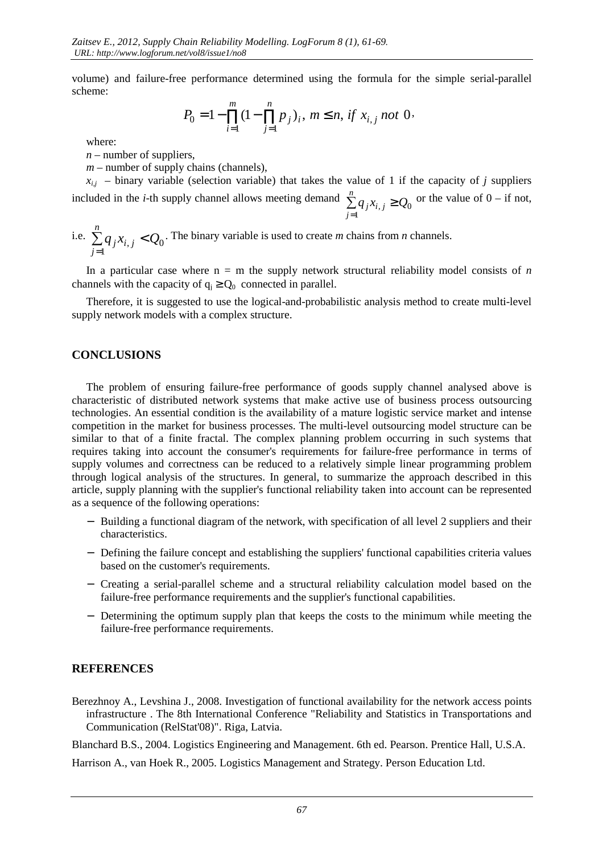volume) and failure-free performance determined using the formula for the simple serial-parallel scheme:

$$
P_0 = 1 - \prod_{i=1}^{m} (1 - \prod_{j=1}^{n} p_j)_i, \ m \le n, \ if \ x_{i,j} \ not \ 0.
$$

where:

 $n$  – number of suppliers.

 $m$  – number of supply chains (channels).

 $x_{i,j}$  – binary variable (selection variable) that takes the value of 1 if the capacity of *j* suppliers included in the *i*-th supply channel allows meeting demand  $\sum_{j=1}^{n} q_j x_{i,j} \ge Q_0$  $\sum_{j=1}^{n} q_j x_{i,j}$  ≥ or the value of  $0 - if not$ ,

i.e.  $\sum q_j x_{i,j} < Q_0$ 1  $q_j x_{i,j} < Q$ *n j*  $\sum q_j x_{i,j} <$ = . The binary variable is used to create *m* chains from *n* channels.

In a particular case where  $n = m$  the supply network structural reliability model consists of *n* channels with the capacity of  $q_i \ge Q_0$  connected in parallel.

Therefore, it is suggested to use the logical-and-probabilistic analysis method to create multi-level supply network models with a complex structure.

### **CONCLUSIONS**

The problem of ensuring failure-free performance of goods supply channel analysed above is characteristic of distributed network systems that make active use of business process outsourcing technologies. An essential condition is the availability of a mature logistic service market and intense competition in the market for business processes. The multi-level outsourcing model structure can be similar to that of a finite fractal. The complex planning problem occurring in such systems that requires taking into account the consumer's requirements for failure-free performance in terms of supply volumes and correctness can be reduced to a relatively simple linear programming problem through logical analysis of the structures. In general, to summarize the approach described in this article, supply planning with the supplier's functional reliability taken into account can be represented as a sequence of the following operations:

- − Building a functional diagram of the network, with specification of all level 2 suppliers and their characteristics.
- − Defining the failure concept and establishing the suppliers' functional capabilities criteria values based on the customer's requirements.
- − Creating a serial-parallel scheme and a structural reliability calculation model based on the failure-free performance requirements and the supplier's functional capabilities.
- − Determining the optimum supply plan that keeps the costs to the minimum while meeting the failure-free performance requirements.

### **REFERENCES**

Berezhnoy A., Levshina J., 2008. Investigation of functional availability for the network access points infrastructure . The 8th International Conference "Reliability and Statistics in Transportations and Communication (RelStat'08)". Riga, Latvia.

Blanchard B.S., 2004. Logistics Engineering and Management. 6th ed. Pearson. Prentice Hall, U.S.A.

Harrison A., van Hoek R., 2005. Logistics Management and Strategy. Person Education Ltd.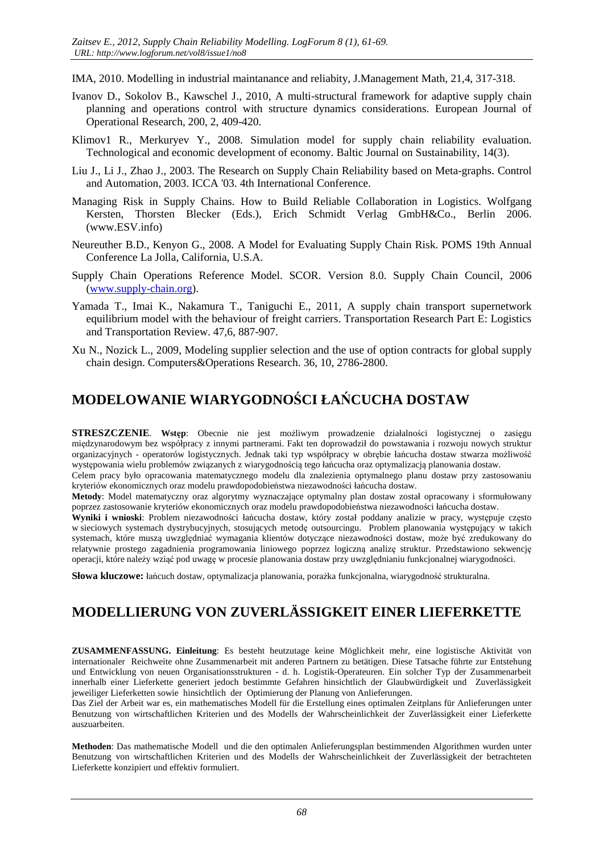IMA, 2010. Modelling in industrial maintanance and reliabity, J.Management Math, 21,4, 317-318.

- Ivanov D., Sokolov B., Kawschel J., 2010, A multi-structural framework for adaptive supply chain planning and operations control with structure dynamics considerations. European Journal of Operational Research, 200, 2, 409-420.
- Klimov1 R., Merkuryev Y., 2008. Simulation model for supply chain reliability evaluation. Technological and economic development of economy. Baltic Journal on Sustainability, 14(3).
- Liu J., Li J., Zhao J., 2003. The Research on Supply Chain Reliability based on Meta-graphs. Control and Automation, 2003. ICCA '03. 4th International Conference.
- Managing Risk in Supply Chains. How to Build Reliable Collaboration in Logistics. Wolfgang Kersten, Thorsten Blecker (Eds.), Erich Schmidt Verlag GmbH&Co., Berlin 2006. (www.ESV.info)
- Neureuther B.D., Kenyon G., 2008. A Model for Evaluating Supply Chain Risk. POMS 19th Annual Conference La Jolla, California, U.S.A.
- Supply Chain Operations Reference Model. SCOR. Version 8.0. Supply Chain Council, 2006 (www.supply-chain.org).
- Yamada T., Imai K., Nakamura T., Taniguchi E., 2011, A supply chain transport supernetwork equilibrium model with the behaviour of freight carriers. Transportation Research Part E: Logistics and Transportation Review. 47,6, 887-907.
- Xu N., Nozick L., 2009, Modeling supplier selection and the use of option contracts for global supply chain design. Computers&Operations Research. 36, 10, 2786-2800.

# MODELOWANIE WIARYGODNOŚCI ŁAŃCUCHA DOSTAW

STRESZCZENIE. Wstęp: Obecnie nie jest możliwym prowadzenie działalności logistycznej o zasięgu międzynarodowym bez współpracy z innymi partnerami. Fakt ten doprowadził do powstawania i rozwoju nowych struktur organizacyjnych - operatorów logistycznych. Jednak taki typ współpracy w obrębie łańcucha dostaw stwarza możliwość występowania wielu problemów związanych z wiarygodnością tego łańcucha oraz optymalizacją planowania dostaw.

Celem pracy było opracowania matematycznego modelu dla znalezienia optymalnego planu dostaw przy zastosowaniu kryteriów ekonomicznych oraz modelu prawdopodobieństwa niezawodności łańcucha dostaw.

Metody: Model matematyczny oraz algorytmy wyznaczające optymalny plan dostaw został opracowany i sformułowany poprzez zastosowanie kryteriów ekonomicznych oraz modelu prawdopodobieństwa niezawodności łańcucha dostaw.

Wyniki i wnioski: Problem niezawodności łańcucha dostaw, który został poddany analizie w pracy, występuje często w sieciowych systemach dystrybucyjnych, stosujących metodę outsourcingu. Problem planowania występujący w takich systemach, które muszą uwzględniać wymagania klientów dotyczące niezawodności dostaw, może być zredukowany do relatywnie prostego zagadnienia programowania liniowego poprzez logiczną analizę struktur. Przedstawiono sekwencję operacji, które należy wziąć pod uwagę w procesie planowania dostaw przy uwzględnianiu funkcjonalnej wiarygodności.

Słowa kluczowe: łańcuch dostaw, optymalizacja planowania, porażka funkcjonalna, wiarygodność strukturalna.

# MODELLIERUNG VON ZUVERLÄSSIGKEIT EINER LIEFERKETTE

ZUSAMMENFASSUNG. Einleitung: Es besteht heutzutage keine Möglichkeit mehr, eine logistische Aktivität von internationaler Reichweite ohne Zusammenarbeit mit anderen Partnern zu betätigen. Diese Tatsache führte zur Entstehung und Entwicklung von neuen Organisationsstrukturen - d. h. Logistik-Operateuren. Ein solcher Typ der Zusammenarbeit innerhalb einer Lieferkette generiert jedoch bestimmte Gefahren hinsichtlich der Glaubwürdigkeit und Zuverlässigkeit jeweiliger Lieferketten sowie hinsichtlich der Optimierung der Planung von Anlieferungen.

Das Ziel der Arbeit war es, ein mathematisches Modell für die Erstellung eines optimalen Zeitplans für Anlieferungen unter Benutzung von wirtschaftlichen Kriterien und des Modells der Wahrscheinlichkeit der Zuverlässigkeit einer Lieferkette auszuarbeiten.

Methoden: Das mathematische Modell und die den optimalen Anlieferungsplan bestimmenden Algorithmen wurden unter Benutzung von wirtschaftlichen Kriterien und des Modells der Wahrscheinlichkeit der Zuverlässigkeit der betrachteten Lieferkette konzipiert und effektiv formuliert.